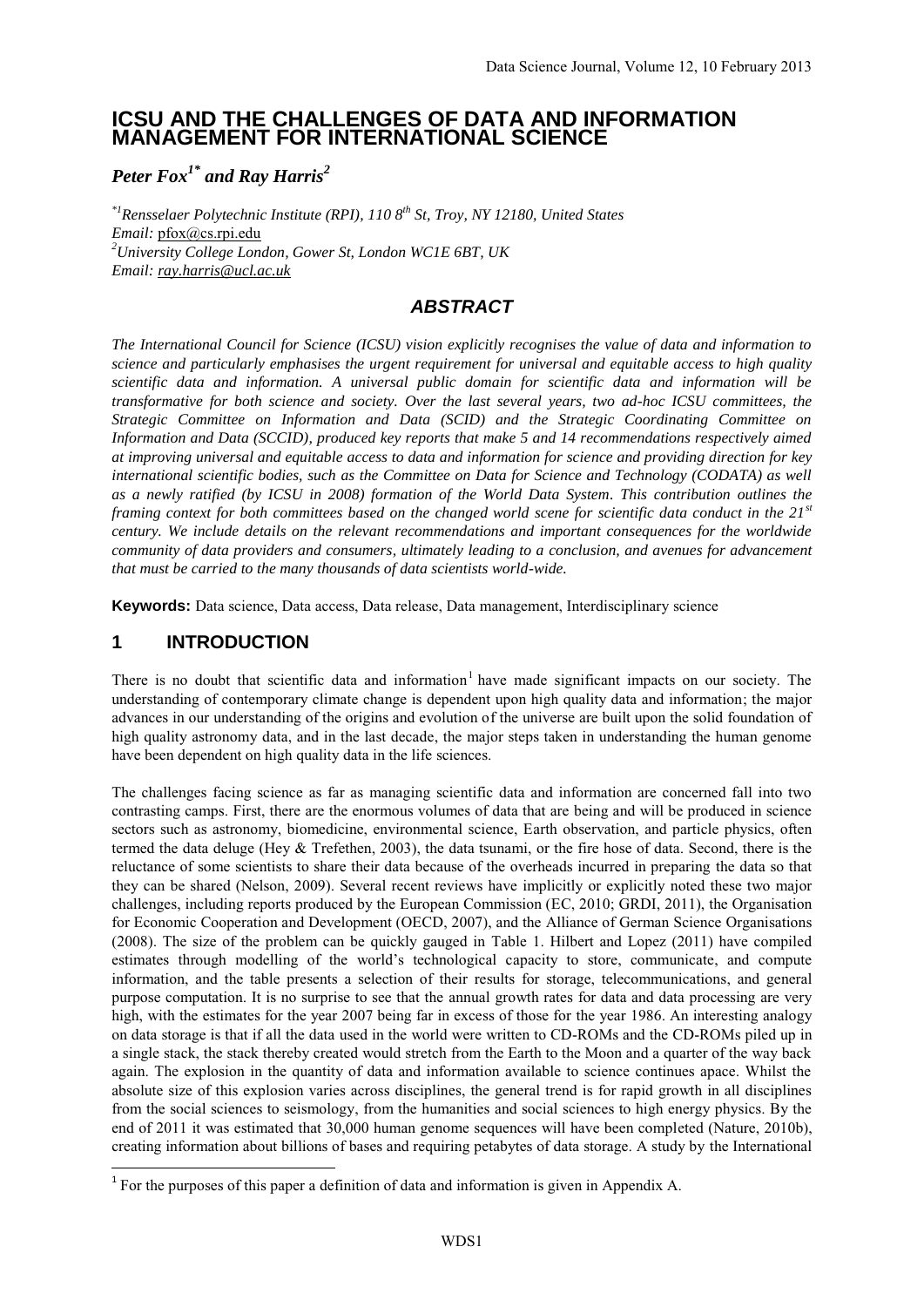# **ICSU AND THE CHALLENGES OF DATA AND INFORMATION MANAGEMENT FOR INTERNATIONAL SCIENCE**

*Peter Fox1\* and Ray Harris<sup>2</sup>*

*\*1Rensselaer Polytechnic Institute (RPI), 110 8th St, Troy, NY 12180, United States Email:* pfox@cs.rpi.edu *<sup>2</sup>University College London, Gower St, London WC1E 6BT, UK Email: ray.harris@ucl.ac.uk*

# *ABSTRACT*

*The International Council for Science (ICSU) vision explicitly recognises the value of data and information to science and particularly emphasises the urgent requirement for universal and equitable access to high quality scientific data and information. A universal public domain for scientific data and information will be transformative for both science and society. Over the last several years, two ad-hoc ICSU committees, the Strategic Committee on Information and Data (SCID) and the Strategic Coordinating Committee on Information and Data (SCCID), produced key reports that make 5 and 14 recommendations respectively aimed at improving universal and equitable access to data and information for science and providing direction for key international scientific bodies, such as the Committee on Data for Science and Technology (CODATA) as well as a newly ratified (by ICSU in 2008) formation of the World Data System. This contribution outlines the framing context for both committees based on the changed world scene for scientific data conduct in the 21st century. We include details on the relevant recommendations and important consequences for the worldwide community of data providers and consumers, ultimately leading to a conclusion, and avenues for advancement that must be carried to the many thousands of data scientists world-wide.*

**Keywords:** Data science, Data access, Data release, Data management, Interdisciplinary science

# **1 INTRODUCTION**

**.** 

There is no doubt that scientific data and information<sup>1</sup> have made significant impacts on our society. The understanding of contemporary climate change is dependent upon high quality data and information; the major advances in our understanding of the origins and evolution of the universe are built upon the solid foundation of high quality astronomy data, and in the last decade, the major steps taken in understanding the human genome have been dependent on high quality data in the life sciences.

The challenges facing science as far as managing scientific data and information are concerned fall into two contrasting camps. First, there are the enormous volumes of data that are being and will be produced in science sectors such as astronomy, biomedicine, environmental science, Earth observation, and particle physics, often termed the data deluge (Hey & Trefethen, 2003), the data tsunami, or the fire hose of data. Second, there is the reluctance of some scientists to share their data because of the overheads incurred in preparing the data so that they can be shared (Nelson, 2009). Several recent reviews have implicitly or explicitly noted these two major challenges, including reports produced by the European Commission (EC, 2010; GRDI, 2011), the Organisation for Economic Cooperation and Development (OECD, 2007), and the Alliance of German Science Organisations (2008). The size of the problem can be quickly gauged in Table 1. Hilbert and Lopez (2011) have compiled estimates through modelling of the world's technological capacity to store, communicate, and compute information, and the table presents a selection of their results for storage, telecommunications, and general purpose computation. It is no surprise to see that the annual growth rates for data and data processing are very high, with the estimates for the year 2007 being far in excess of those for the year 1986. An interesting analogy on data storage is that if all the data used in the world were written to CD-ROMs and the CD-ROMs piled up in a single stack, the stack thereby created would stretch from the Earth to the Moon and a quarter of the way back again. The explosion in the quantity of data and information available to science continues apace. Whilst the absolute size of this explosion varies across disciplines, the general trend is for rapid growth in all disciplines from the social sciences to seismology, from the humanities and social sciences to high energy physics. By the end of 2011 it was estimated that 30,000 human genome sequences will have been completed (Nature, 2010b), creating information about billions of bases and requiring petabytes of data storage. A study by the International

<sup>&</sup>lt;sup>1</sup> For the purposes of this paper a definition of data and information is given in Appendix A.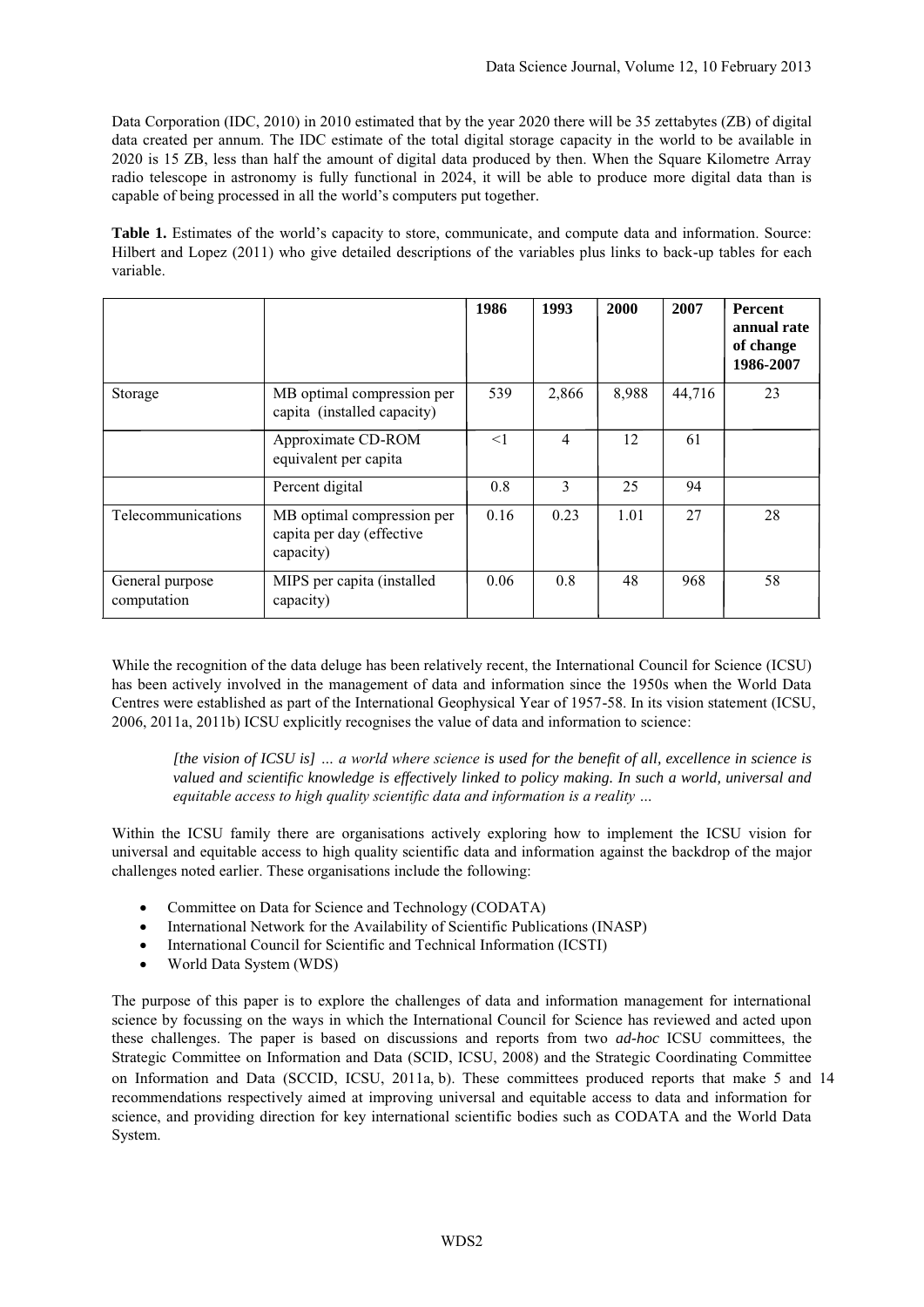Data Corporation (IDC, 2010) in 2010 estimated that by the year 2020 there will be 35 zettabytes (ZB) of digital data created per annum. The IDC estimate of the total digital storage capacity in the world to be available in 2020 is 15 ZB, less than half the amount of digital data produced by then. When the Square Kilometre Array radio telescope in astronomy is fully functional in 2024, it will be able to produce more digital data than is capable of being processed in all the world's computers put together.

**Table 1.** Estimates of the world's capacity to store, communicate, and compute data and information. Source: Hilbert and Lopez (2011) who give detailed descriptions of the variables plus links to back-up tables for each variable.

|                                |                                                                      | 1986 | 1993  | 2000  | 2007   | <b>Percent</b><br>annual rate<br>of change<br>1986-2007 |
|--------------------------------|----------------------------------------------------------------------|------|-------|-------|--------|---------------------------------------------------------|
| Storage                        | MB optimal compression per<br>capita (installed capacity)            | 539  | 2,866 | 8,988 | 44,716 | 23                                                      |
|                                | Approximate CD-ROM<br>equivalent per capita                          | <1   | 4     | 12    | 61     |                                                         |
|                                | Percent digital                                                      | 0.8  | 3     | 25    | 94     |                                                         |
| Telecommunications             | MB optimal compression per<br>capita per day (effective<br>capacity) | 0.16 | 0.23  | 1.01  | 27     | 28                                                      |
| General purpose<br>computation | MIPS per capita (installed<br>capacity)                              | 0.06 | 0.8   | 48    | 968    | 58                                                      |

While the recognition of the data deluge has been relatively recent, the International Council for Science (ICSU) has been actively involved in the management of data and information since the 1950s when the World Data Centres were established as part of the International Geophysical Year of 1957-58. In its vision statement (ICSU, 2006, 2011a, 2011b) ICSU explicitly recognises the value of data and information to science:

*[the vision of ICSU is] … a world where science is used for the benefit of all, excellence in science is valued and scientific knowledge is effectively linked to policy making. In such a world, universal and equitable access to high quality scientific data and information is a reality …*

Within the ICSU family there are organisations actively exploring how to implement the ICSU vision for universal and equitable access to high quality scientific data and information against the backdrop of the major challenges noted earlier. These organisations include the following:

- Committee on Data for Science and Technology (CODATA)
- International Network for the Availability of Scientific Publications (INASP)
- International Council for Scientific and Technical Information (ICSTI)
- World Data System (WDS)

The purpose of this paper is to explore the challenges of data and information management for international science by focussing on the ways in which the International Council for Science has reviewed and acted upon these challenges. The paper is based on discussions and reports from two *ad-hoc* ICSU committees, the Strategic Committee on Information and Data (SCID, ICSU, 2008) and the Strategic Coordinating Committee on Information and Data (SCCID, ICSU, 2011a, b). These committees produced reports that make 5 and 14 recommendations respectively aimed at improving universal and equitable access to data and information for science, and providing direction for key international scientific bodies such as CODATA and the World Data System.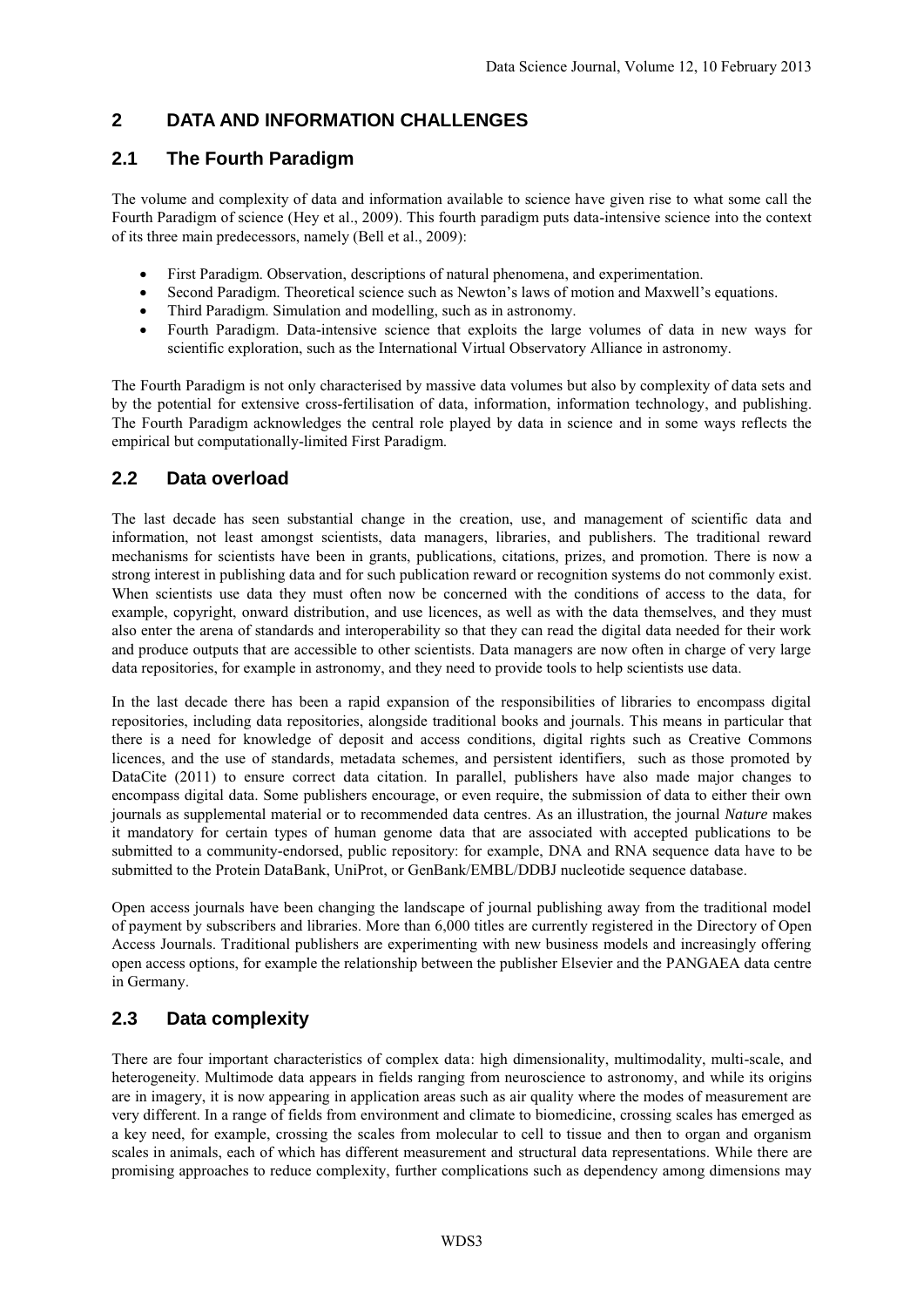# **2 DATA AND INFORMATION CHALLENGES**

# **2.1 The Fourth Paradigm**

The volume and complexity of data and information available to science have given rise to what some call the Fourth Paradigm of science (Hey et al., 2009). This fourth paradigm puts data-intensive science into the context of its three main predecessors, namely (Bell et al., 2009):

- First Paradigm. Observation, descriptions of natural phenomena, and experimentation.
- Second Paradigm. Theoretical science such as Newton's laws of motion and Maxwell's equations.
- Third Paradigm. Simulation and modelling, such as in astronomy.
- Fourth Paradigm. Data-intensive science that exploits the large volumes of data in new ways for scientific exploration, such as the International Virtual Observatory Alliance in astronomy.

The Fourth Paradigm is not only characterised by massive data volumes but also by complexity of data sets and by the potential for extensive cross-fertilisation of data, information, information technology, and publishing. The Fourth Paradigm acknowledges the central role played by data in science and in some ways reflects the empirical but computationally-limited First Paradigm.

# **2.2 Data overload**

The last decade has seen substantial change in the creation, use, and management of scientific data and information, not least amongst scientists, data managers, libraries, and publishers. The traditional reward mechanisms for scientists have been in grants, publications, citations, prizes, and promotion. There is now a strong interest in publishing data and for such publication reward or recognition systems do not commonly exist. When scientists use data they must often now be concerned with the conditions of access to the data, for example, copyright, onward distribution, and use licences, as well as with the data themselves, and they must also enter the arena of standards and interoperability so that they can read the digital data needed for their work and produce outputs that are accessible to other scientists. Data managers are now often in charge of very large data repositories, for example in astronomy, and they need to provide tools to help scientists use data.

In the last decade there has been a rapid expansion of the responsibilities of libraries to encompass digital repositories, including data repositories, alongside traditional books and journals. This means in particular that there is a need for knowledge of deposit and access conditions, digital rights such as Creative Commons licences, and the use of standards, metadata schemes, and persistent identifiers, such as those promoted by DataCite (2011) to ensure correct data citation. In parallel, publishers have also made major changes to encompass digital data. Some publishers encourage, or even require, the submission of data to either their own journals as supplemental material or to recommended data centres. As an illustration, the journal *Nature* makes it mandatory for certain types of human genome data that are associated with accepted publications to be submitted to a community-endorsed, public repository: for example, DNA and RNA sequence data have to be submitted to the Protein DataBank, UniProt, or GenBank/EMBL/DDBJ nucleotide sequence database.

Open access journals have been changing the landscape of journal publishing away from the traditional model of payment by subscribers and libraries. More than 6,000 titles are currently registered in the Directory of Open Access Journals. Traditional publishers are experimenting with new business models and increasingly offering open access options, for example the relationship between the publisher Elsevier and the PANGAEA data centre in Germany.

# **2.3 Data complexity**

There are four important characteristics of complex data: high dimensionality, multimodality, multi-scale, and heterogeneity. Multimode data appears in fields ranging from neuroscience to astronomy, and while its origins are in imagery, it is now appearing in application areas such as air quality where the modes of measurement are very different. In a range of fields from environment and climate to biomedicine, crossing scales has emerged as a key need, for example, crossing the scales from molecular to cell to tissue and then to organ and organism scales in animals, each of which has different measurement and structural data representations. While there are promising approaches to reduce complexity, further complications such as dependency among dimensions may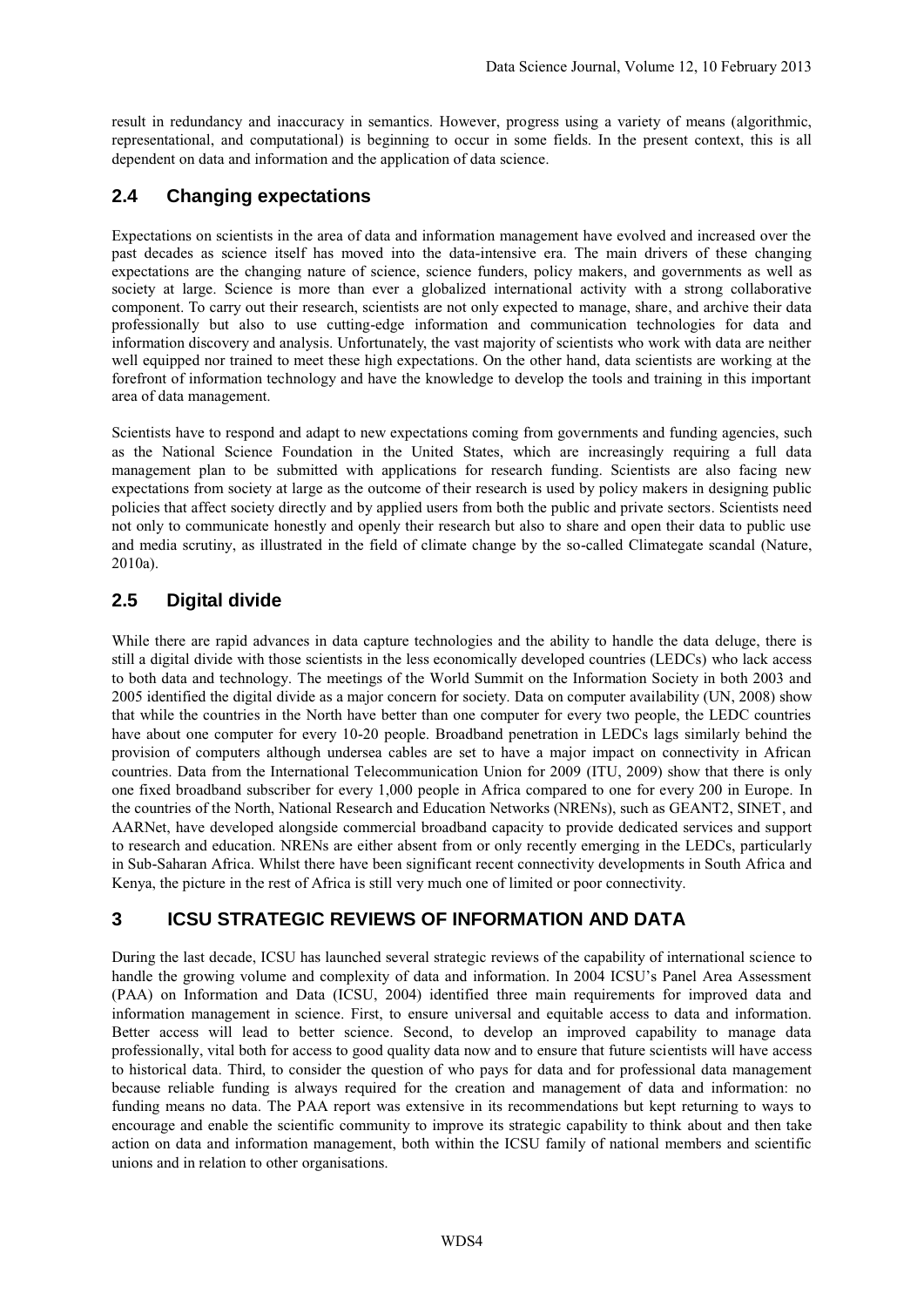result in redundancy and inaccuracy in semantics. However, progress using a variety of means (algorithmic, representational, and computational) is beginning to occur in some fields. In the present context, this is all dependent on data and information and the application of data science.

# **2.4 Changing expectations**

Expectations on scientists in the area of data and information management have evolved and increased over the past decades as science itself has moved into the data-intensive era. The main drivers of these changing expectations are the changing nature of science, science funders, policy makers, and governments as well as society at large. Science is more than ever a globalized international activity with a strong collaborative component. To carry out their research, scientists are not only expected to manage, share, and archive their data professionally but also to use cutting-edge information and communication technologies for data and information discovery and analysis. Unfortunately, the vast majority of scientists who work with data are neither well equipped nor trained to meet these high expectations. On the other hand, data scientists are working at the forefront of information technology and have the knowledge to develop the tools and training in this important area of data management.

Scientists have to respond and adapt to new expectations coming from governments and funding agencies, such as the National Science Foundation in the United States, which are increasingly requiring a full data management plan to be submitted with applications for research funding. Scientists are also facing new expectations from society at large as the outcome of their research is used by policy makers in designing public policies that affect society directly and by applied users from both the public and private sectors. Scientists need not only to communicate honestly and openly their research but also to share and open their data to public use and media scrutiny, as illustrated in the field of climate change by the so-called Climategate scandal (Nature, 2010a).

# **2.5 Digital divide**

While there are rapid advances in data capture technologies and the ability to handle the data deluge, there is still a digital divide with those scientists in the less economically developed countries (LEDCs) who lack access to both data and technology. The meetings of the World Summit on the Information Society in both 2003 and 2005 identified the digital divide as a major concern for society. Data on computer availability (UN, 2008) show that while the countries in the North have better than one computer for every two people, the LEDC countries have about one computer for every 10-20 people. Broadband penetration in LEDCs lags similarly behind the provision of computers although undersea cables are set to have a major impact on connectivity in African countries. Data from the International Telecommunication Union for 2009 (ITU, 2009) show that there is only one fixed broadband subscriber for every 1,000 people in Africa compared to one for every 200 in Europe. In the countries of the North, National Research and Education Networks (NRENs), such as GEANT2, SINET, and AARNet, have developed alongside commercial broadband capacity to provide dedicated services and support to research and education. NRENs are either absent from or only recently emerging in the LEDCs, particularly in Sub-Saharan Africa. Whilst there have been significant recent connectivity developments in South Africa and Kenya, the picture in the rest of Africa is still very much one of limited or poor connectivity.

# **3 ICSU STRATEGIC REVIEWS OF INFORMATION AND DATA**

During the last decade, ICSU has launched several strategic reviews of the capability of international science to handle the growing volume and complexity of data and information. In 2004 ICSU's Panel Area Assessment (PAA) on Information and Data (ICSU, 2004) identified three main requirements for improved data and information management in science. First, to ensure universal and equitable access to data and information. Better access will lead to better science. Second, to develop an improved capability to manage data professionally, vital both for access to good quality data now and to ensure that future scientists will have access to historical data. Third, to consider the question of who pays for data and for professional data management because reliable funding is always required for the creation and management of data and information: no funding means no data. The PAA report was extensive in its recommendations but kept returning to ways to encourage and enable the scientific community to improve its strategic capability to think about and then take action on data and information management, both within the ICSU family of national members and scientific unions and in relation to other organisations.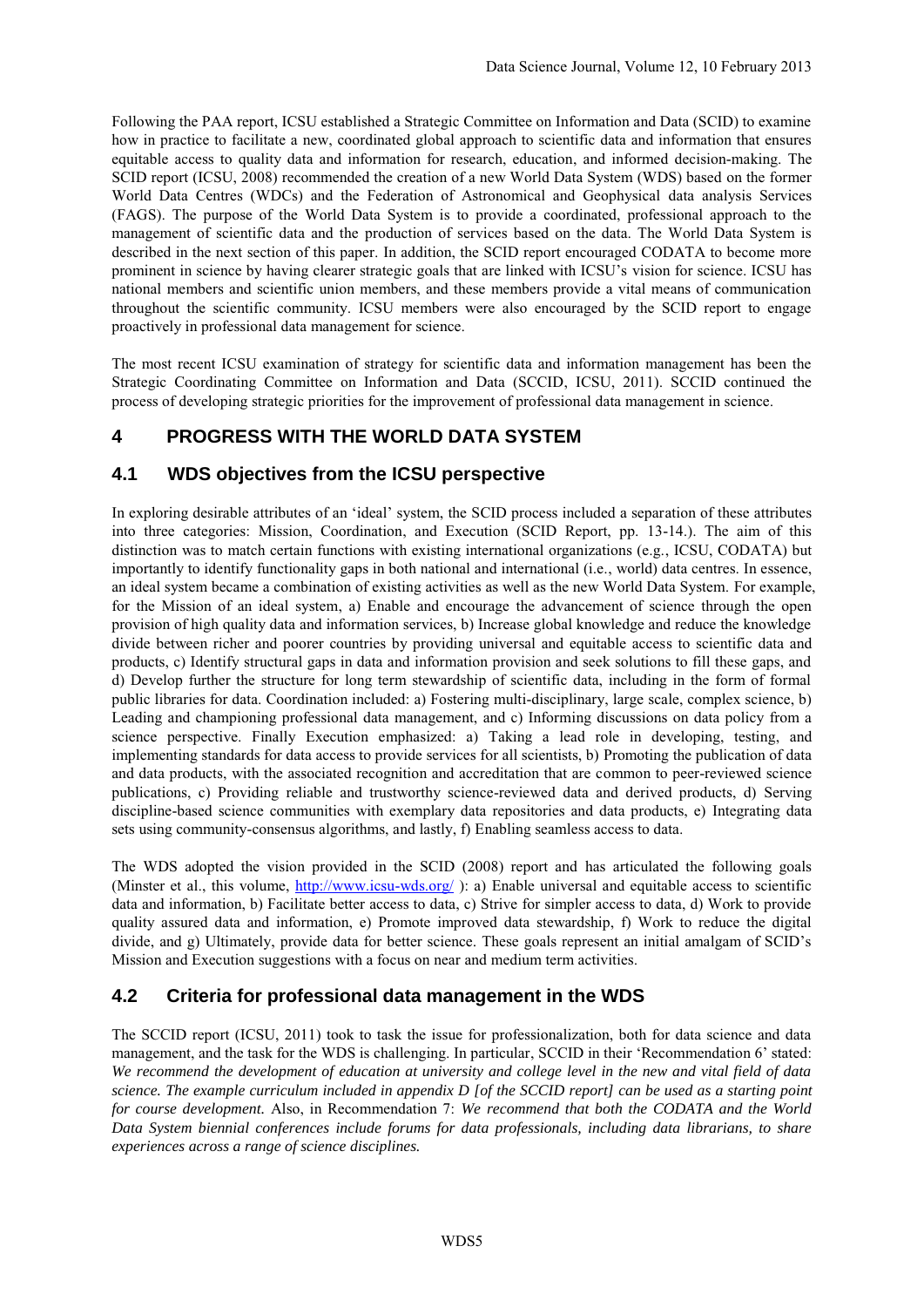Following the PAA report, ICSU established a Strategic Committee on Information and Data (SCID) to examine how in practice to facilitate a new, coordinated global approach to scientific data and information that ensures equitable access to quality data and information for research, education, and informed decision-making. The SCID report (ICSU, 2008) recommended the creation of a new World Data System (WDS) based on the former World Data Centres (WDCs) and the Federation of Astronomical and Geophysical data analysis Services (FAGS). The purpose of the World Data System is to provide a coordinated, professional approach to the management of scientific data and the production of services based on the data. The World Data System is described in the next section of this paper. In addition, the SCID report encouraged CODATA to become more prominent in science by having clearer strategic goals that are linked with ICSU's vision for science. ICSU has national members and scientific union members, and these members provide a vital means of communication throughout the scientific community. ICSU members were also encouraged by the SCID report to engage proactively in professional data management for science.

The most recent ICSU examination of strategy for scientific data and information management has been the Strategic Coordinating Committee on Information and Data (SCCID, ICSU, 2011). SCCID continued the process of developing strategic priorities for the improvement of professional data management in science.

# **4 PROGRESS WITH THE WORLD DATA SYSTEM**

# **4.1 WDS objectives from the ICSU perspective**

In exploring desirable attributes of an 'ideal' system, the SCID process included a separation of these attributes into three categories: Mission, Coordination, and Execution (SCID Report, pp. 13-14.). The aim of this distinction was to match certain functions with existing international organizations (e.g., ICSU, CODATA) but importantly to identify functionality gaps in both national and international (i.e., world) data centres. In essence, an ideal system became a combination of existing activities as well as the new World Data System. For example, for the Mission of an ideal system, a) Enable and encourage the advancement of science through the open provision of high quality data and information services, b) Increase global knowledge and reduce the knowledge divide between richer and poorer countries by providing universal and equitable access to scientific data and products, c) Identify structural gaps in data and information provision and seek solutions to fill these gaps, and d) Develop further the structure for long term stewardship of scientific data, including in the form of formal public libraries for data. Coordination included: a) Fostering multi-disciplinary, large scale, complex science, b) Leading and championing professional data management, and c) Informing discussions on data policy from a science perspective. Finally Execution emphasized: a) Taking a lead role in developing, testing, and implementing standards for data access to provide services for all scientists, b) Promoting the publication of data and data products, with the associated recognition and accreditation that are common to peer-reviewed science publications, c) Providing reliable and trustworthy science-reviewed data and derived products, d) Serving discipline-based science communities with exemplary data repositories and data products, e) Integrating data sets using community-consensus algorithms, and lastly, f) Enabling seamless access to data.

The WDS adopted the vision provided in the SCID (2008) report and has articulated the following goals (Minster et al., this volume, <http://www.icsu-wds.org/>): a) Enable universal and equitable access to scientific data and information, b) Facilitate better access to data, c) Strive for simpler access to data, d) Work to provide quality assured data and information, e) Promote improved data stewardship, f) Work to reduce the digital divide, and g) Ultimately, provide data for better science. These goals represent an initial amalgam of SCID's Mission and Execution suggestions with a focus on near and medium term activities.

# **4.2 Criteria for professional data management in the WDS**

The SCCID report (ICSU, 2011) took to task the issue for professionalization, both for data science and data management, and the task for the WDS is challenging. In particular, SCCID in their 'Recommendation 6' stated: *We recommend the development of education at university and college level in the new and vital field of data science. The example curriculum included in appendix D [of the SCCID report] can be used as a starting point for course development.* Also, in Recommendation 7: *We recommend that both the CODATA and the World Data System biennial conferences include forums for data professionals, including data librarians, to share experiences across a range of science disciplines.*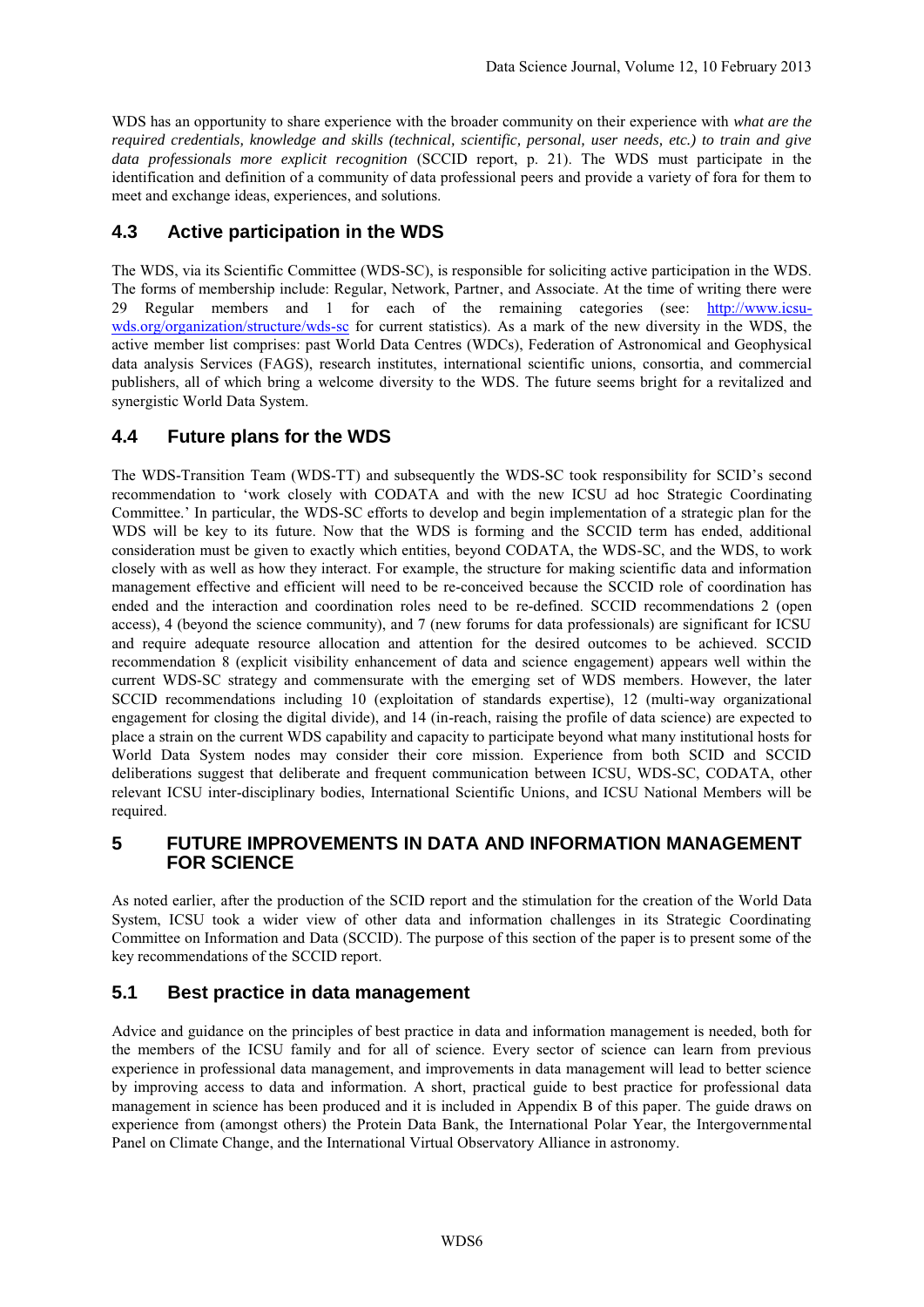WDS has an opportunity to share experience with the broader community on their experience with *what are the required credentials, knowledge and skills (technical, scientific, personal, user needs, etc.) to train and give data professionals more explicit recognition* (SCCID report, p. 21). The WDS must participate in the identification and definition of a community of data professional peers and provide a variety of fora for them to meet and exchange ideas, experiences, and solutions.

# **4.3 Active participation in the WDS**

The WDS, via its Scientific Committee (WDS-SC), is responsible for soliciting active participation in the WDS. The forms of membership include: Regular, Network, Partner, and Associate. At the time of writing there were 29 Regular members and 1 for each of the remaining categories (see: [http://www.icsu](http://www.icsu-wds.org/organization/structure/wds-sc)[wds.org/organization/structure/wds-sc](http://www.icsu-wds.org/organization/structure/wds-sc) for current statistics). As a mark of the new diversity in the WDS, the active member list comprises: past World Data Centres (WDCs), Federation of Astronomical and Geophysical data analysis Services (FAGS), research institutes, international scientific unions, consortia, and commercial publishers, all of which bring a welcome diversity to the WDS. The future seems bright for a revitalized and synergistic World Data System.

## **4.4 Future plans for the WDS**

The WDS-Transition Team (WDS-TT) and subsequently the WDS-SC took responsibility for SCID's second recommendation to 'work closely with CODATA and with the new ICSU ad hoc Strategic Coordinating Committee.' In particular, the WDS-SC efforts to develop and begin implementation of a strategic plan for the WDS will be key to its future. Now that the WDS is forming and the SCCID term has ended, additional consideration must be given to exactly which entities, beyond CODATA, the WDS-SC, and the WDS, to work closely with as well as how they interact. For example, the structure for making scientific data and information management effective and efficient will need to be re-conceived because the SCCID role of coordination has ended and the interaction and coordination roles need to be re-defined. SCCID recommendations 2 (open access), 4 (beyond the science community), and 7 (new forums for data professionals) are significant for ICSU and require adequate resource allocation and attention for the desired outcomes to be achieved. SCCID recommendation 8 (explicit visibility enhancement of data and science engagement) appears well within the current WDS-SC strategy and commensurate with the emerging set of WDS members. However, the later SCCID recommendations including 10 (exploitation of standards expertise), 12 (multi-way organizational engagement for closing the digital divide), and 14 (in-reach, raising the profile of data science) are expected to place a strain on the current WDS capability and capacity to participate beyond what many institutional hosts for World Data System nodes may consider their core mission. Experience from both SCID and SCCID deliberations suggest that deliberate and frequent communication between ICSU, WDS-SC, CODATA, other relevant ICSU inter-disciplinary bodies, International Scientific Unions, and ICSU National Members will be required.

## **5 FUTURE IMPROVEMENTS IN DATA AND INFORMATION MANAGEMENT FOR SCIENCE**

As noted earlier, after the production of the SCID report and the stimulation for the creation of the World Data System, ICSU took a wider view of other data and information challenges in its Strategic Coordinating Committee on Information and Data (SCCID). The purpose of this section of the paper is to present some of the key recommendations of the SCCID report.

# **5.1 Best practice in data management**

Advice and guidance on the principles of best practice in data and information management is needed, both for the members of the ICSU family and for all of science. Every sector of science can learn from previous experience in professional data management, and improvements in data management will lead to better science by improving access to data and information. A short, practical guide to best practice for professional data management in science has been produced and it is included in Appendix B of this paper. The guide draws on experience from (amongst others) the Protein Data Bank, the International Polar Year, the Intergovernmental Panel on Climate Change, and the International Virtual Observatory Alliance in astronomy.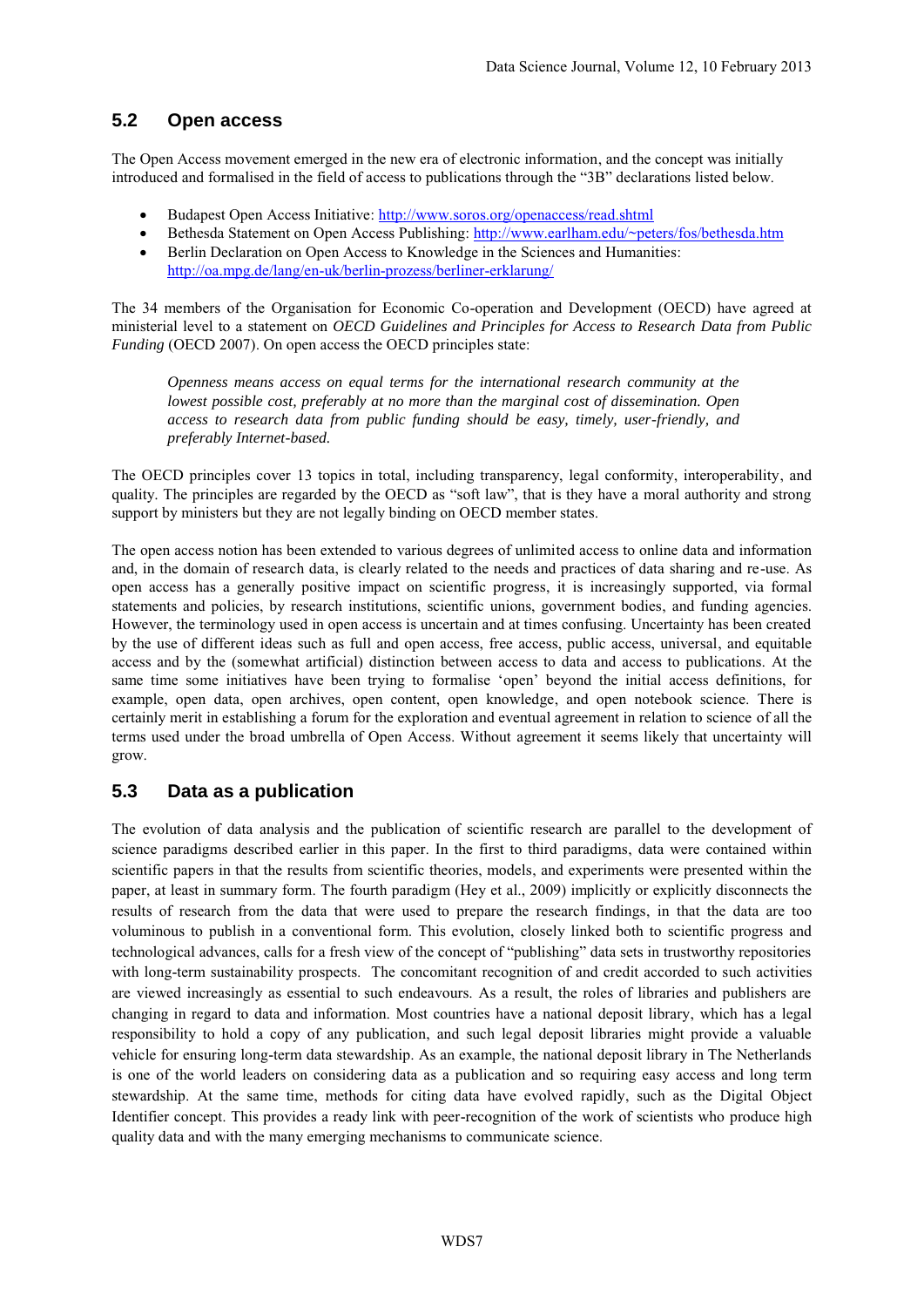# **5.2 Open access**

The Open Access movement emerged in the new era of electronic information, and the concept was initially introduced and formalised in the field of access to publications through the "3B" declarations listed below.

- Budapest Open Access Initiative: <http://www.soros.org/openaccess/read.shtml>
- Bethesda Statement on Open Access Publishing: <http://www.earlham.edu/~peters/fos/bethesda.htm>
- Berlin Declaration on Open Access to Knowledge in the Sciences and Humanities: <http://oa.mpg.de/lang/en-uk/berlin-prozess/berliner-erklarung/>

The 34 members of the Organisation for Economic Co-operation and Development (OECD) have agreed at ministerial level to a statement on *OECD Guidelines and Principles for Access to Research Data from Public Funding* (OECD 2007). On open access the OECD principles state:

*Openness means access on equal terms for the international research community at the lowest possible cost, preferably at no more than the marginal cost of dissemination. Open access to research data from public funding should be easy, timely, user-friendly, and preferably Internet-based.*

The OECD principles cover 13 topics in total, including transparency, legal conformity, interoperability, and quality. The principles are regarded by the OECD as "soft law", that is they have a moral authority and strong support by ministers but they are not legally binding on OECD member states.

The open access notion has been extended to various degrees of unlimited access to online data and information and, in the domain of research data, is clearly related to the needs and practices of data sharing and re-use. As open access has a generally positive impact on scientific progress, it is increasingly supported, via formal statements and policies, by research institutions, scientific unions, government bodies, and funding agencies. However, the terminology used in open access is uncertain and at times confusing. Uncertainty has been created by the use of different ideas such as full and open access, free access, public access, universal, and equitable access and by the (somewhat artificial) distinction between access to data and access to publications. At the same time some initiatives have been trying to formalise 'open' beyond the initial access definitions, for example, open data, open archives, open content, open knowledge, and open notebook science. There is certainly merit in establishing a forum for the exploration and eventual agreement in relation to science of all the terms used under the broad umbrella of Open Access. Without agreement it seems likely that uncertainty will grow.

# **5.3 Data as a publication**

The evolution of data analysis and the publication of scientific research are parallel to the development of science paradigms described earlier in this paper. In the first to third paradigms, data were contained within scientific papers in that the results from scientific theories, models, and experiments were presented within the paper, at least in summary form. The fourth paradigm (Hey et al., 2009) implicitly or explicitly disconnects the results of research from the data that were used to prepare the research findings, in that the data are too voluminous to publish in a conventional form. This evolution, closely linked both to scientific progress and technological advances, calls for a fresh view of the concept of "publishing" data sets in trustworthy repositories with long-term sustainability prospects. The concomitant recognition of and credit accorded to such activities are viewed increasingly as essential to such endeavours. As a result, the roles of libraries and publishers are changing in regard to data and information. Most countries have a national deposit library, which has a legal responsibility to hold a copy of any publication, and such legal deposit libraries might provide a valuable vehicle for ensuring long-term data stewardship. As an example, the national deposit library in The Netherlands is one of the world leaders on considering data as a publication and so requiring easy access and long term stewardship. At the same time, methods for citing data have evolved rapidly, such as the Digital Object Identifier concept. This provides a ready link with peer-recognition of the work of scientists who produce high quality data and with the many emerging mechanisms to communicate science.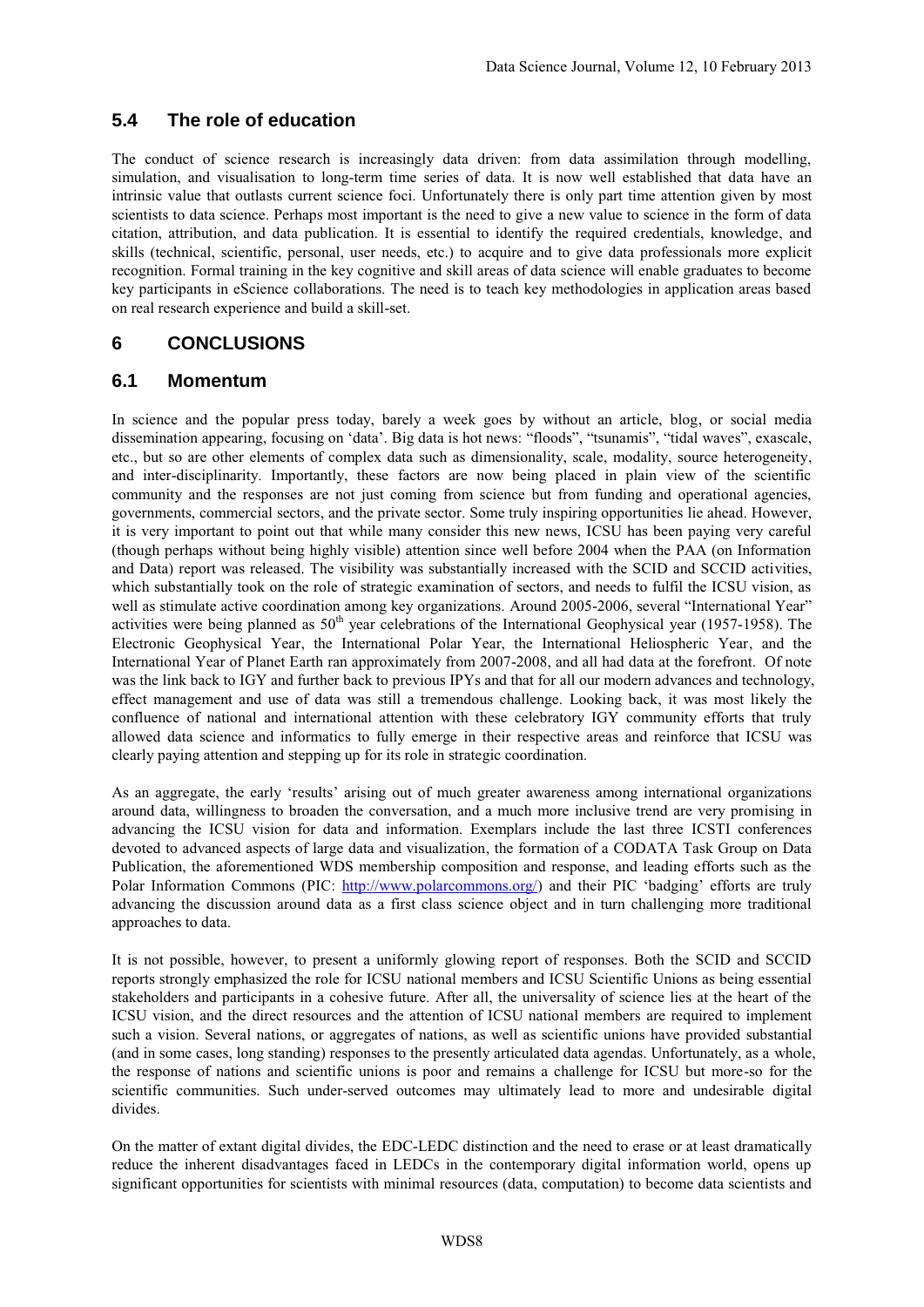# **5.4 The role of education**

The conduct of science research is increasingly data driven: from data assimilation through modelling, simulation, and visualisation to long-term time series of data. It is now well established that data have an intrinsic value that outlasts current science foci. Unfortunately there is only part time attention given by most scientists to data science. Perhaps most important is the need to give a new value to science in the form of data citation, attribution, and data publication. It is essential to identify the required credentials, knowledge, and skills (technical, scientific, personal, user needs, etc.) to acquire and to give data professionals more explicit recognition. Formal training in the key cognitive and skill areas of data science will enable graduates to become key participants in eScience collaborations. The need is to teach key methodologies in application areas based on real research experience and build a skill-set.

# **6 CONCLUSIONS**

## **6.1 Momentum**

In science and the popular press today, barely a week goes by without an article, blog, or social media dissemination appearing, focusing on 'data'. Big data is hot news: "floods", "tsunamis", "tidal waves", exascale, etc., but so are other elements of complex data such as dimensionality, scale, modality, source heterogeneity, and inter-disciplinarity. Importantly, these factors are now being placed in plain view of the scientific community and the responses are not just coming from science but from funding and operational agencies, governments, commercial sectors, and the private sector. Some truly inspiring opportunities lie ahead. However, it is very important to point out that while many consider this new news, ICSU has been paying very careful (though perhaps without being highly visible) attention since well before 2004 when the PAA (on Information and Data) report was released. The visibility was substantially increased with the SCID and SCCID activities, which substantially took on the role of strategic examination of sectors, and needs to fulfil the ICSU vision, as well as stimulate active coordination among key organizations. Around 2005-2006, several "International Year" activities were being planned as  $50<sup>th</sup>$  year celebrations of the International Geophysical year (1957-1958). The Electronic Geophysical Year, the International Polar Year, the International Heliospheric Year, and the International Year of Planet Earth ran approximately from 2007-2008, and all had data at the forefront. Of note was the link back to IGY and further back to previous IPYs and that for all our modern advances and technology, effect management and use of data was still a tremendous challenge. Looking back, it was most likely the confluence of national and international attention with these celebratory IGY community efforts that truly allowed data science and informatics to fully emerge in their respective areas and reinforce that ICSU was clearly paying attention and stepping up for its role in strategic coordination.

As an aggregate, the early 'results' arising out of much greater awareness among international organizations around data, willingness to broaden the conversation, and a much more inclusive trend are very promising in advancing the ICSU vision for data and information. Exemplars include the last three ICSTI conferences devoted to advanced aspects of large data and visualization, the formation of a CODATA Task Group on Data Publication, the aforementioned WDS membership composition and response, and leading efforts such as the Polar Information Commons (PIC: [http://www.polarcommons.org/\)](http://www.polarcommons.org/) and their PIC 'badging' efforts are truly advancing the discussion around data as a first class science object and in turn challenging more traditional approaches to data.

It is not possible, however, to present a uniformly glowing report of responses. Both the SCID and SCCID reports strongly emphasized the role for ICSU national members and ICSU Scientific Unions as being essential stakeholders and participants in a cohesive future. After all, the universality of science lies at the heart of the ICSU vision, and the direct resources and the attention of ICSU national members are required to implement such a vision. Several nations, or aggregates of nations, as well as scientific unions have provided substantial (and in some cases, long standing) responses to the presently articulated data agendas. Unfortunately, as a whole, the response of nations and scientific unions is poor and remains a challenge for ICSU but more-so for the scientific communities. Such under-served outcomes may ultimately lead to more and undesirable digital divides.

On the matter of extant digital divides, the EDC-LEDC distinction and the need to erase or at least dramatically reduce the inherent disadvantages faced in LEDCs in the contemporary digital information world, opens up significant opportunities for scientists with minimal resources (data, computation) to become data scientists and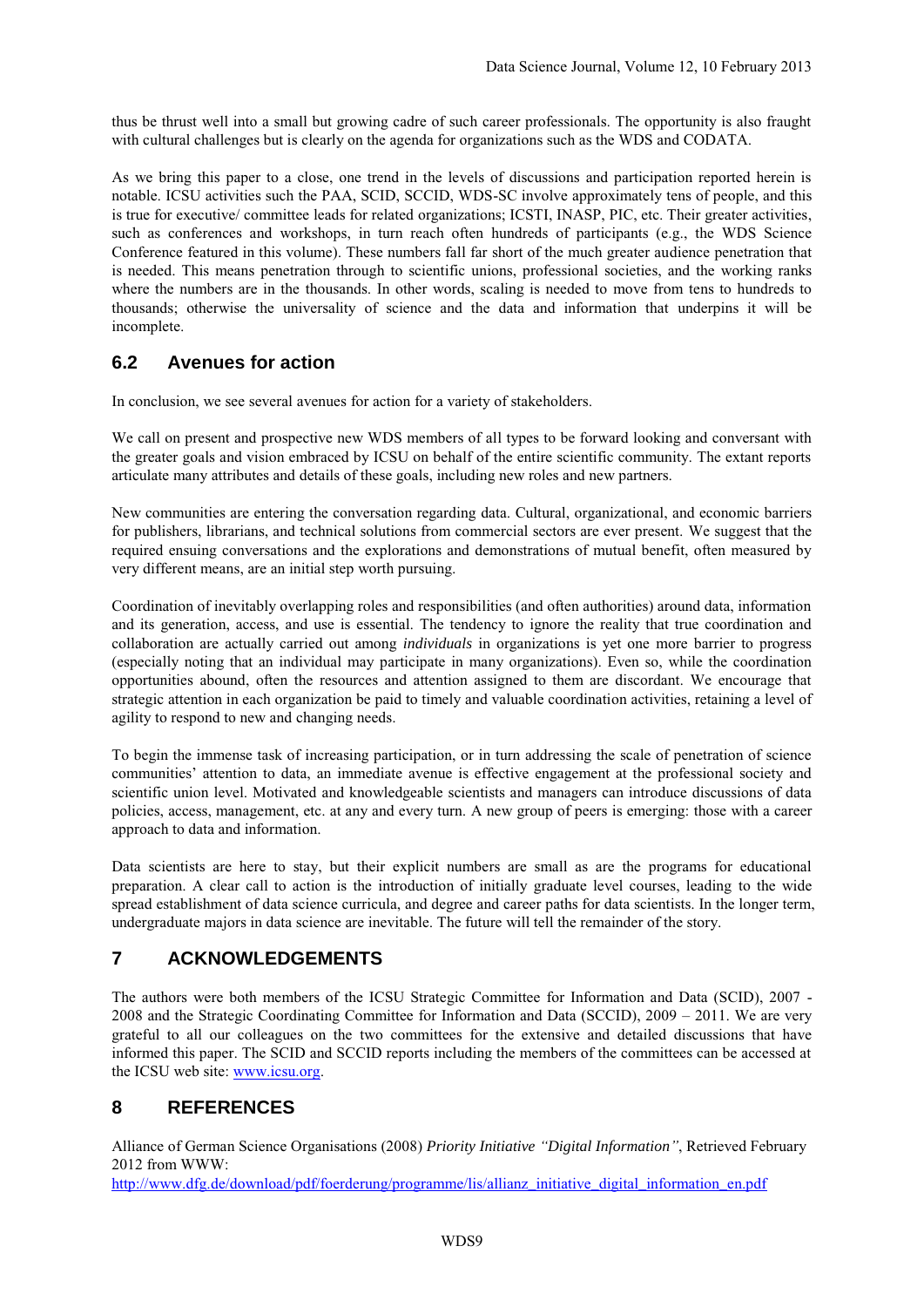thus be thrust well into a small but growing cadre of such career professionals. The opportunity is also fraught with cultural challenges but is clearly on the agenda for organizations such as the WDS and CODATA.

As we bring this paper to a close, one trend in the levels of discussions and participation reported herein is notable. ICSU activities such the PAA, SCID, SCCID, WDS-SC involve approximately tens of people, and this is true for executive/ committee leads for related organizations; ICSTI, INASP, PIC, etc. Their greater activities, such as conferences and workshops, in turn reach often hundreds of participants (e.g., the WDS Science Conference featured in this volume). These numbers fall far short of the much greater audience penetration that is needed. This means penetration through to scientific unions, professional societies, and the working ranks where the numbers are in the thousands. In other words, scaling is needed to move from tens to hundreds to thousands; otherwise the universality of science and the data and information that underpins it will be incomplete.

# **6.2 Avenues for action**

In conclusion, we see several avenues for action for a variety of stakeholders.

We call on present and prospective new WDS members of all types to be forward looking and conversant with the greater goals and vision embraced by ICSU on behalf of the entire scientific community. The extant reports articulate many attributes and details of these goals, including new roles and new partners.

New communities are entering the conversation regarding data. Cultural, organizational, and economic barriers for publishers, librarians, and technical solutions from commercial sectors are ever present. We suggest that the required ensuing conversations and the explorations and demonstrations of mutual benefit, often measured by very different means, are an initial step worth pursuing.

Coordination of inevitably overlapping roles and responsibilities (and often authorities) around data, information and its generation, access, and use is essential. The tendency to ignore the reality that true coordination and collaboration are actually carried out among *individuals* in organizations is yet one more barrier to progress (especially noting that an individual may participate in many organizations). Even so, while the coordination opportunities abound, often the resources and attention assigned to them are discordant. We encourage that strategic attention in each organization be paid to timely and valuable coordination activities, retaining a level of agility to respond to new and changing needs.

To begin the immense task of increasing participation, or in turn addressing the scale of penetration of science communities' attention to data, an immediate avenue is effective engagement at the professional society and scientific union level. Motivated and knowledgeable scientists and managers can introduce discussions of data policies, access, management, etc. at any and every turn. A new group of peers is emerging: those with a career approach to data and information.

Data scientists are here to stay, but their explicit numbers are small as are the programs for educational preparation. A clear call to action is the introduction of initially graduate level courses, leading to the wide spread establishment of data science curricula, and degree and career paths for data scientists. In the longer term, undergraduate majors in data science are inevitable. The future will tell the remainder of the story.

# **7 ACKNOWLEDGEMENTS**

The authors were both members of the ICSU Strategic Committee for Information and Data (SCID), 2007 - 2008 and the Strategic Coordinating Committee for Information and Data (SCCID), 2009 – 2011. We are very grateful to all our colleagues on the two committees for the extensive and detailed discussions that have informed this paper. The SCID and SCCID reports including the members of the committees can be accessed at the ICSU web site: [www.icsu.org.](http://www.icsu.org/)

# **8 REFERENCES**

Alliance of German Science Organisations (2008) *Priority Initiative "Digital Information"*, Retrieved February 2012 from WWW:

[http://www.dfg.de/download/pdf/foerderung/programme/lis/allianz\\_initiative\\_digital\\_information\\_en.pdf](http://www.dfg.de/download/pdf/foerderung/programme/lis/allianz_initiative_digital_information_en.pdf)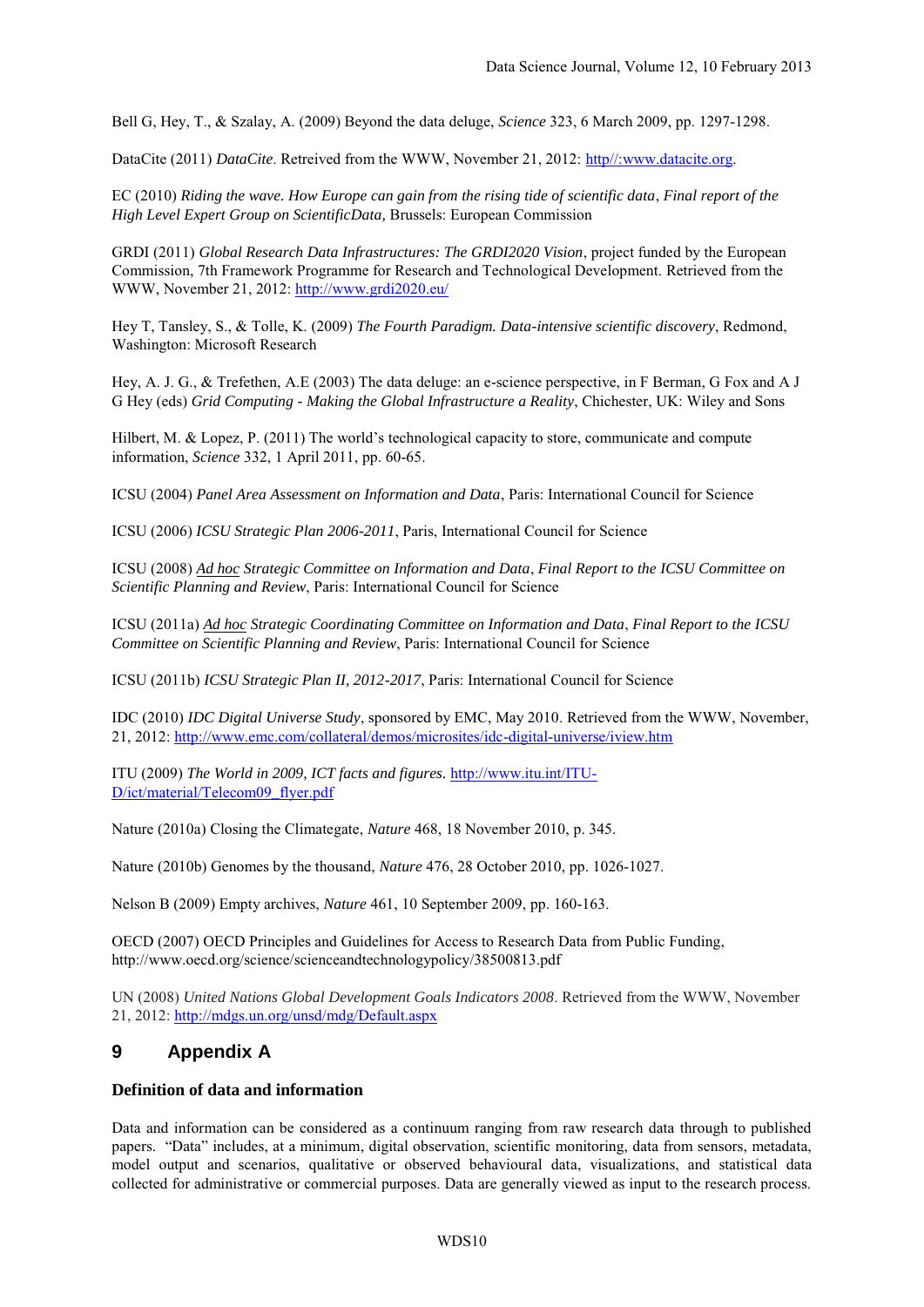Bell G, Hey, T., & Szalay, A. (2009) Beyond the data deluge, *Science* 323, 6 March 2009, pp. 1297-1298.

DataCite (2011) *DataCite*. Retreived from the WWW, November 21, 2012: [http//:www.datacite.org.](http://www.datacite.org/)

EC (2010) *Riding the wave. How Europe can gain from the rising tide of scientific data*, *Final report of the High Level Expert Group on ScientificData,* Brussels: European Commission

GRDI (2011) *Global Research Data Infrastructures: The GRDI2020 Vision*, project funded by the European Commission, 7th Framework Programme for Research and Technological Development. Retrieved from the WWW, November 21, 2012: <http://www.grdi2020.eu/>

Hey T, Tansley, S., & Tolle, K. (2009) *The Fourth Paradigm. Data-intensive scientific discovery*, Redmond, Washington: Microsoft Research

Hey, A. J. G., & Trefethen, A.E (2003) The data deluge: an e-science perspective, in F Berman, G Fox and A J G Hey (eds) *Grid Computing - Making the Global Infrastructure a Reality*, Chichester, UK: Wiley and Sons

Hilbert, M. & Lopez, P. (2011) The world's technological capacity to store, communicate and compute information, *Science* 332, 1 April 2011, pp. 60-65.

ICSU (2004) *Panel Area Assessment on Information and Data*, Paris: International Council for Science

ICSU (2006) *ICSU Strategic Plan 2006-2011*, Paris, International Council for Science

ICSU (2008) *Ad hoc Strategic Committee on Information and Data*, *Final Report to the ICSU Committee on Scientific Planning and Review*, Paris: International Council for Science

ICSU (2011a) *Ad hoc Strategic Coordinating Committee on Information and Data*, *Final Report to the ICSU Committee on Scientific Planning and Review*, Paris: International Council for Science

ICSU (2011b) *ICSU Strategic Plan II, 2012-2017*, Paris: International Council for Science

IDC (2010) *IDC Digital Universe Study*, sponsored by EMC, May 2010. Retrieved from the WWW, November, 21, 2012:<http://www.emc.com/collateral/demos/microsites/idc-digital-universe/iview.htm>

ITU (2009) *The World in 2009, ICT facts and figures.* [http://www.itu.int/ITU-](http://www.itu.int/ITU-D/ict/material/Telecom09_flyer.pdf)[D/ict/material/Telecom09\\_flyer.pdf](http://www.itu.int/ITU-D/ict/material/Telecom09_flyer.pdf)

Nature (2010a) Closing the Climategate, *Nature* 468, 18 November 2010, p. 345.

Nature (2010b) Genomes by the thousand, *Nature* 476, 28 October 2010, pp. 1026-1027.

Nelson B (2009) Empty archives, *Nature* 461, 10 September 2009, pp. 160-163.

OECD (2007) OECD Principles and Guidelines for Access to Research Data from Public Funding, http://www.oecd.org/science/scienceandtechnologypolicy/38500813.pdf

UN (2008) *United Nations Global Development Goals Indicators 2008*. Retrieved from the WWW, November 21, 2012: <http://mdgs.un.org/unsd/mdg/Default.aspx>

## **9 Appendix A**

### **Definition of data and information**

Data and information can be considered as a continuum ranging from raw research data through to published papers. "Data" includes, at a minimum, digital observation, scientific monitoring, data from sensors, metadata, model output and scenarios, qualitative or observed behavioural data, visualizations, and statistical data collected for administrative or commercial purposes. Data are generally viewed as input to the research process.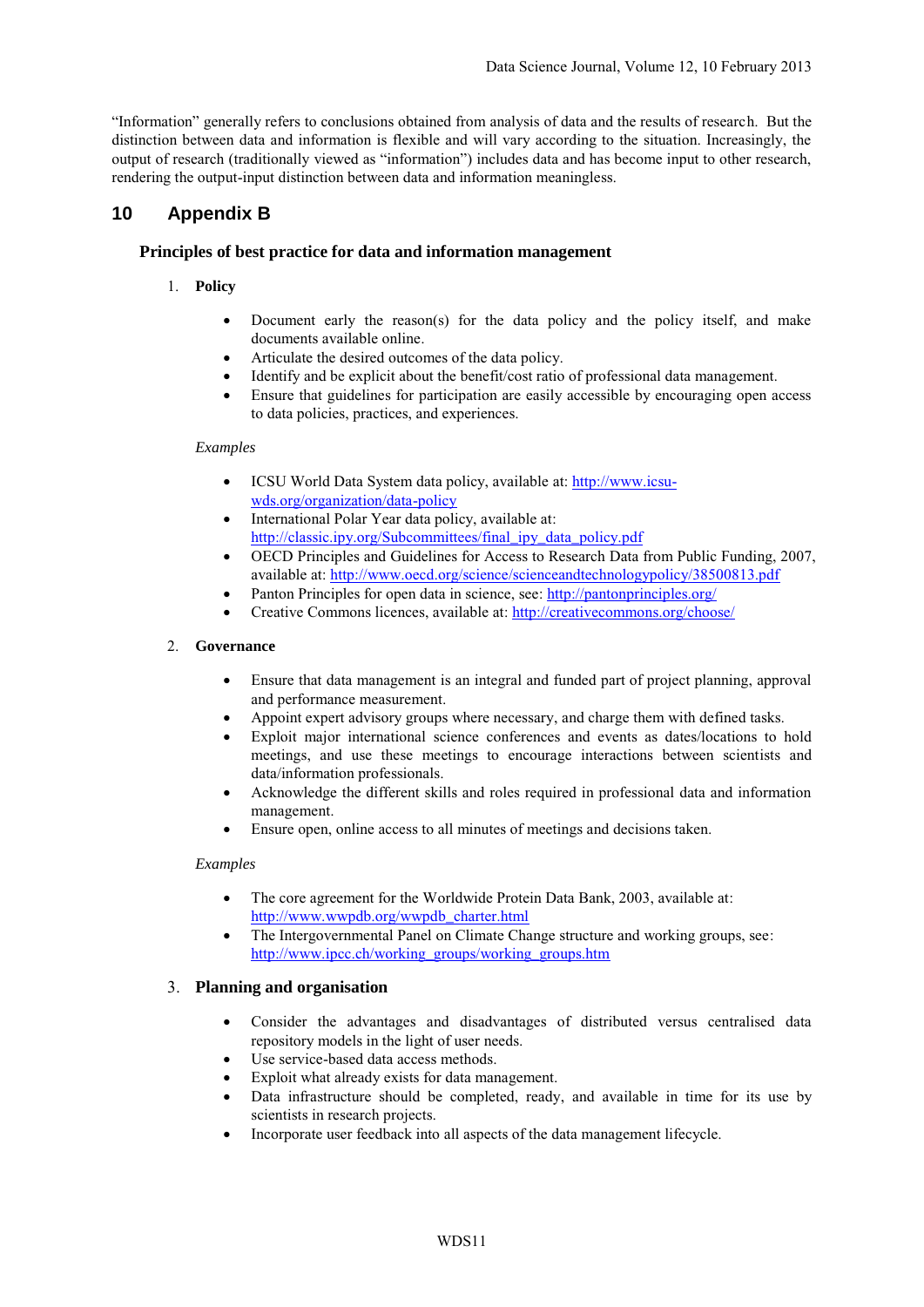"Information" generally refers to conclusions obtained from analysis of data and the results of research. But the distinction between data and information is flexible and will vary according to the situation. Increasingly, the output of research (traditionally viewed as "information") includes data and has become input to other research, rendering the output-input distinction between data and information meaningless.

# **10 Appendix B**

## **Principles of best practice for data and information management**

- 1. **Policy**
	- Document early the reason(s) for the data policy and the policy itself, and make documents available online.
	- Articulate the desired outcomes of the data policy.
	- Identify and be explicit about the benefit/cost ratio of professional data management.
	- Ensure that guidelines for participation are easily accessible by encouraging open access to data policies, practices, and experiences.

### *Examples*

- ICSU World Data System data policy, available at[: http://www.icsu](http://www.icsu-wds.org/organization/data-policy)[wds.org/organization/data-policy](http://www.icsu-wds.org/organization/data-policy)
- International Polar Year data policy, available at: [http://classic.ipy.org/Subcommittees/final\\_ipy\\_data\\_policy.pdf](http://classic.ipy.org/Subcommittees/final_ipy_data_policy.pdf)
- OECD Principles and Guidelines for Access to Research Data from Public Funding, 2007, available at: <http://www.oecd.org/science/scienceandtechnologypolicy/38500813.pdf>
- Panton Principles for open data in science, see: <http://pantonprinciples.org/>
- Creative Commons licences, available at: <http://creativecommons.org/choose/>

### 2. **Governance**

- Ensure that data management is an integral and funded part of project planning, approval and performance measurement.
- Appoint expert advisory groups where necessary, and charge them with defined tasks.
- Exploit major international science conferences and events as dates/locations to hold meetings, and use these meetings to encourage interactions between scientists and data/information professionals.
- Acknowledge the different skills and roles required in professional data and information management.
- Ensure open, online access to all minutes of meetings and decisions taken.

### *Examples*

- The core agreement for the Worldwide Protein Data Bank, 2003, available at: [http://www.wwpdb.org/wwpdb\\_charter.html](http://www.wwpdb.org/wwpdb_charter.html)
- The Intergovernmental Panel on Climate Change structure and working groups, see: [http://www.ipcc.ch/working\\_groups/working\\_groups.htm](http://www.ipcc.ch/working_groups/working_groups.htm)

### 3. **Planning and organisation**

- Consider the advantages and disadvantages of distributed versus centralised data repository models in the light of user needs.
- Use service-based data access methods.
- Exploit what already exists for data management.
- Data infrastructure should be completed, ready, and available in time for its use by scientists in research projects.
- Incorporate user feedback into all aspects of the data management lifecycle.